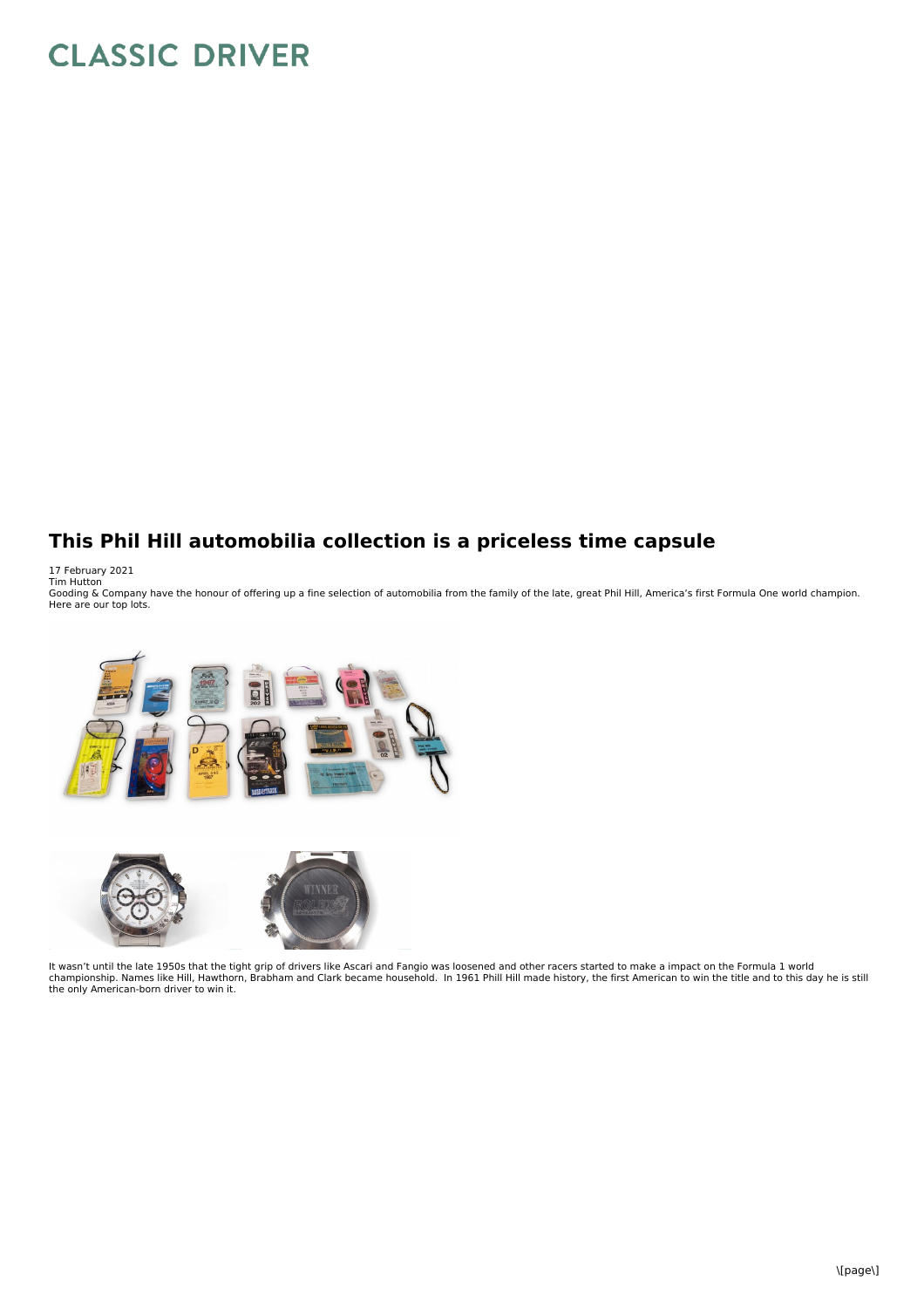## **CLASSIC DRIVER**

## **This Phil Hill automobilia collection is a priceless time capsule**

17 February 2021<br>Tim Hutton<br>Gooding & Company have the honour of offering up a fine selection of automobilia from the family of the late, great Phil Hill, America's first Formula One world champion. Here are our top lots.



It wasn't until the late 1950s that the tight grip of drivers like Ascari and Fangio was loosened and other racers started to make a impact on the Formula 1 world<br>championship. Names like Hill, Hawthorn, Brabham and Clark the only American-born driver to win it.